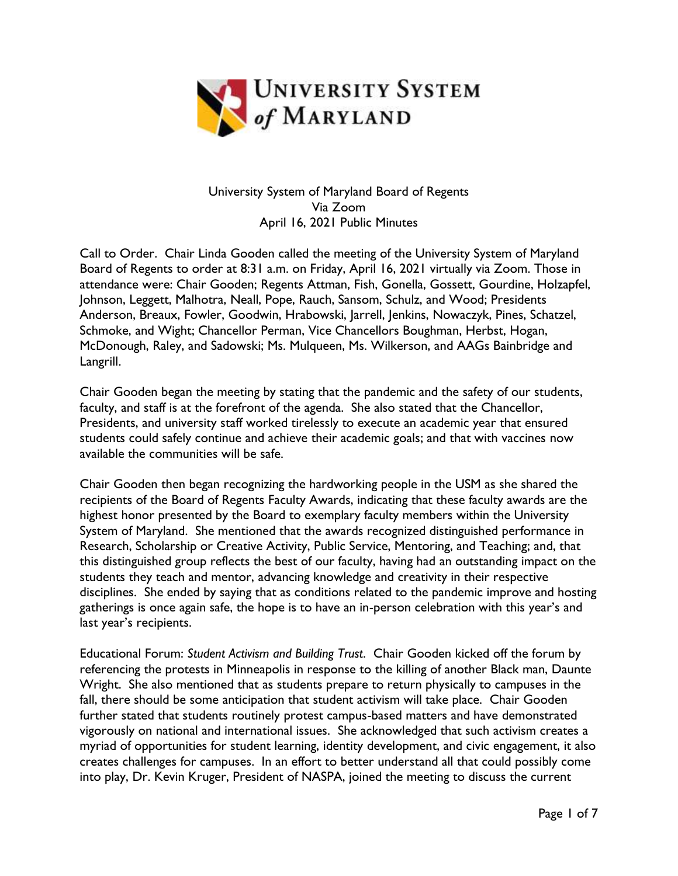

## University System of Maryland Board of Regents Via Zoom April 16, 2021 Public Minutes

Call to Order. Chair Linda Gooden called the meeting of the University System of Maryland Board of Regents to order at 8:31 a.m. on Friday, April 16, 2021 virtually via Zoom. Those in attendance were: Chair Gooden; Regents Attman, Fish, Gonella, Gossett, Gourdine, Holzapfel, Johnson, Leggett, Malhotra, Neall, Pope, Rauch, Sansom, Schulz, and Wood; Presidents Anderson, Breaux, Fowler, Goodwin, Hrabowski, Jarrell, Jenkins, Nowaczyk, Pines, Schatzel, Schmoke, and Wight; Chancellor Perman, Vice Chancellors Boughman, Herbst, Hogan, McDonough, Raley, and Sadowski; Ms. Mulqueen, Ms. Wilkerson, and AAGs Bainbridge and Langrill.

Chair Gooden began the meeting by stating that the pandemic and the safety of our students, faculty, and staff is at the forefront of the agenda. She also stated that the Chancellor, Presidents, and university staff worked tirelessly to execute an academic year that ensured students could safely continue and achieve their academic goals; and that with vaccines now available the communities will be safe.

Chair Gooden then began recognizing the hardworking people in the USM as she shared the recipients of the Board of Regents Faculty Awards, indicating that these faculty awards are the highest honor presented by the Board to exemplary faculty members within the University System of Maryland. She mentioned that the awards recognized distinguished performance in Research, Scholarship or Creative Activity, Public Service, Mentoring, and Teaching; and, that this distinguished group reflects the best of our faculty, having had an outstanding impact on the students they teach and mentor, advancing knowledge and creativity in their respective disciplines. She ended by saying that as conditions related to the pandemic improve and hosting gatherings is once again safe, the hope is to have an in-person celebration with this year's and last year's recipients.

Educational Forum: *Student Activism and Building Trust*. Chair Gooden kicked off the forum by referencing the protests in Minneapolis in response to the killing of another Black man, Daunte Wright. She also mentioned that as students prepare to return physically to campuses in the fall, there should be some anticipation that student activism will take place. Chair Gooden further stated that students routinely protest campus-based matters and have demonstrated vigorously on national and international issues. She acknowledged that such activism creates a myriad of opportunities for student learning, identity development, and civic engagement, it also creates challenges for campuses. In an effort to better understand all that could possibly come into play, Dr. Kevin Kruger, President of NASPA, joined the meeting to discuss the current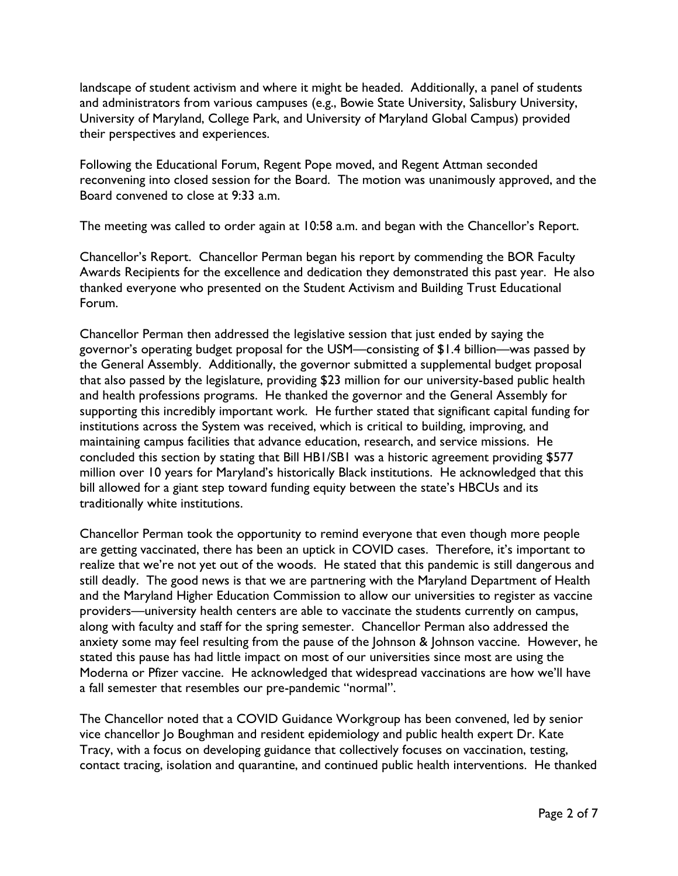landscape of student activism and where it might be headed. Additionally, a panel of students and administrators from various campuses (e.g., Bowie State University, Salisbury University, University of Maryland, College Park, and University of Maryland Global Campus) provided their perspectives and experiences.

Following the Educational Forum, Regent Pope moved, and Regent Attman seconded reconvening into closed session for the Board. The motion was unanimously approved, and the Board convened to close at 9:33 a.m.

The meeting was called to order again at 10:58 a.m. and began with the Chancellor's Report.

Chancellor's Report. Chancellor Perman began his report by commending the BOR Faculty Awards Recipients for the excellence and dedication they demonstrated this past year. He also thanked everyone who presented on the Student Activism and Building Trust Educational Forum.

Chancellor Perman then addressed the legislative session that just ended by saying the governor's operating budget proposal for the USM—consisting of \$1.4 billion—was passed by the General Assembly. Additionally, the governor submitted a supplemental budget proposal that also passed by the legislature, providing \$23 million for our university-based public health and health professions programs. He thanked the governor and the General Assembly for supporting this incredibly important work. He further stated that significant capital funding for institutions across the System was received, which is critical to building, improving, and maintaining campus facilities that advance education, research, and service missions. He concluded this section by stating that Bill HB1/SB1 was a historic agreement providing \$577 million over 10 years for Maryland's historically Black institutions. He acknowledged that this bill allowed for a giant step toward funding equity between the state's HBCUs and its traditionally white institutions.

Chancellor Perman took the opportunity to remind everyone that even though more people are getting vaccinated, there has been an uptick in COVID cases. Therefore, it's important to realize that we're not yet out of the woods. He stated that this pandemic is still dangerous and still deadly. The good news is that we are partnering with the Maryland Department of Health and the Maryland Higher Education Commission to allow our universities to register as vaccine providers—university health centers are able to vaccinate the students currently on campus, along with faculty and staff for the spring semester. Chancellor Perman also addressed the anxiety some may feel resulting from the pause of the Johnson & Johnson vaccine. However, he stated this pause has had little impact on most of our universities since most are using the Moderna or Pfizer vaccine. He acknowledged that widespread vaccinations are how we'll have a fall semester that resembles our pre-pandemic "normal".

The Chancellor noted that a COVID Guidance Workgroup has been convened, led by senior vice chancellor Jo Boughman and resident epidemiology and public health expert Dr. Kate Tracy, with a focus on developing guidance that collectively focuses on vaccination, testing, contact tracing, isolation and quarantine, and continued public health interventions. He thanked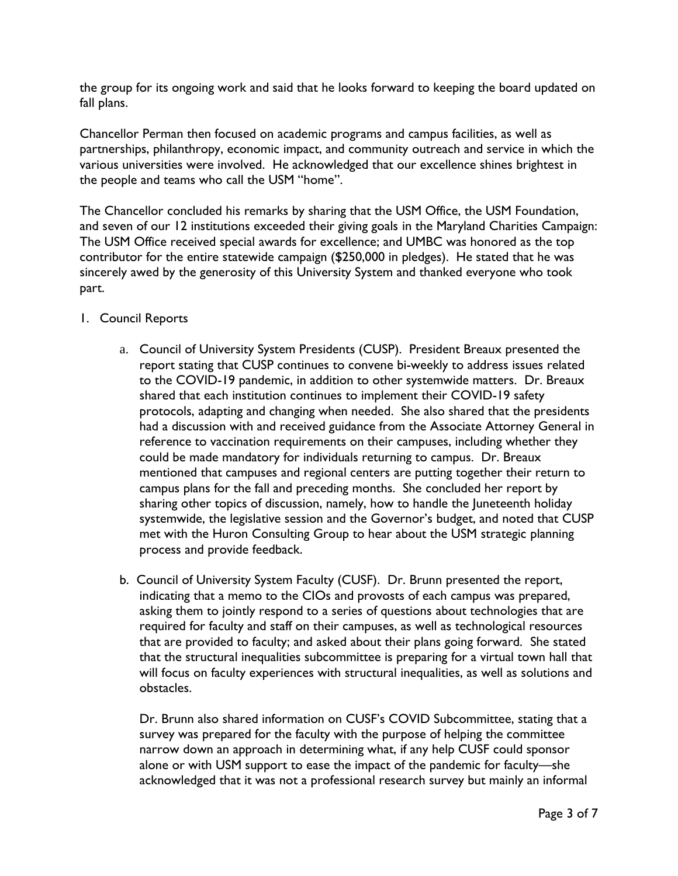the group for its ongoing work and said that he looks forward to keeping the board updated on fall plans.

Chancellor Perman then focused on academic programs and campus facilities, as well as partnerships, philanthropy, economic impact, and community outreach and service in which the various universities were involved. He acknowledged that our excellence shines brightest in the people and teams who call the USM "home".

The Chancellor concluded his remarks by sharing that the USM Office, the USM Foundation, and seven of our 12 institutions exceeded their giving goals in the Maryland Charities Campaign: The USM Office received special awards for excellence; and UMBC was honored as the top contributor for the entire statewide campaign (\$250,000 in pledges). He stated that he was sincerely awed by the generosity of this University System and thanked everyone who took part.

- 1. Council Reports
	- a. Council of University System Presidents (CUSP). President Breaux presented the report stating that CUSP continues to convene bi-weekly to address issues related to the COVID-19 pandemic, in addition to other systemwide matters. Dr. Breaux shared that each institution continues to implement their COVID-19 safety protocols, adapting and changing when needed. She also shared that the presidents had a discussion with and received guidance from the Associate Attorney General in reference to vaccination requirements on their campuses, including whether they could be made mandatory for individuals returning to campus. Dr. Breaux mentioned that campuses and regional centers are putting together their return to campus plans for the fall and preceding months. She concluded her report by sharing other topics of discussion, namely, how to handle the Juneteenth holiday systemwide, the legislative session and the Governor's budget, and noted that CUSP met with the Huron Consulting Group to hear about the USM strategic planning process and provide feedback.
	- b. Council of University System Faculty (CUSF). Dr. Brunn presented the report, indicating that a memo to the CIOs and provosts of each campus was prepared, asking them to jointly respond to a series of questions about technologies that are required for faculty and staff on their campuses, as well as technological resources that are provided to faculty; and asked about their plans going forward. She stated that the structural inequalities subcommittee is preparing for a virtual town hall that will focus on faculty experiences with structural inequalities, as well as solutions and obstacles.

Dr. Brunn also shared information on CUSF's COVID Subcommittee, stating that a survey was prepared for the faculty with the purpose of helping the committee narrow down an approach in determining what, if any help CUSF could sponsor alone or with USM support to ease the impact of the pandemic for faculty—she acknowledged that it was not a professional research survey but mainly an informal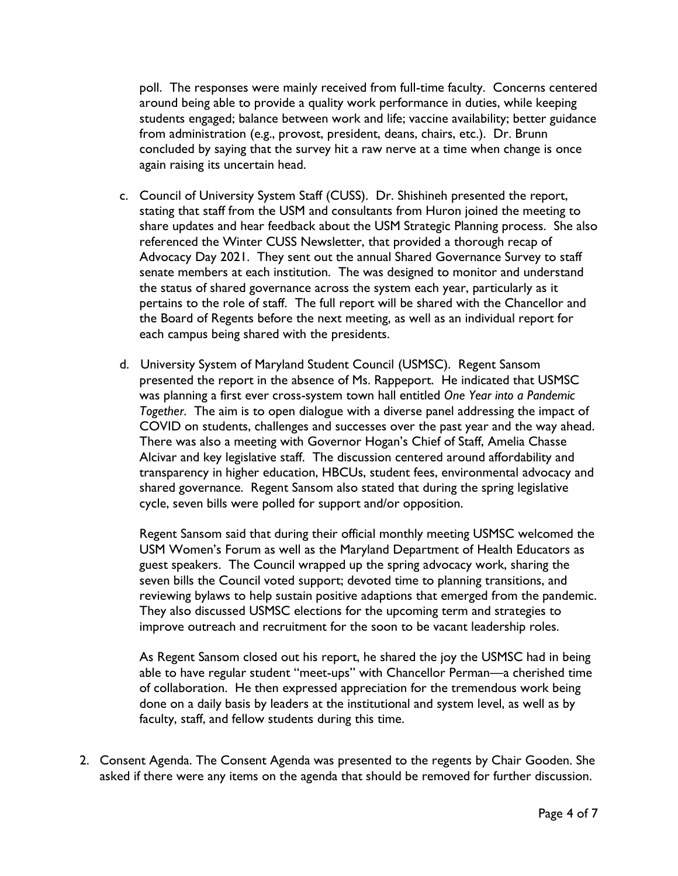poll. The responses were mainly received from full-time faculty. Concerns centered around being able to provide a quality work performance in duties, while keeping students engaged; balance between work and life; vaccine availability; better guidance from administration (e.g., provost, president, deans, chairs, etc.). Dr. Brunn concluded by saying that the survey hit a raw nerve at a time when change is once again raising its uncertain head.

- c. Council of University System Staff (CUSS). Dr. Shishineh presented the report, stating that staff from the USM and consultants from Huron joined the meeting to share updates and hear feedback about the USM Strategic Planning process. She also referenced the Winter CUSS Newsletter, that provided a thorough recap of Advocacy Day 2021. They sent out the annual Shared Governance Survey to staff senate members at each institution. The was designed to monitor and understand the status of shared governance across the system each year, particularly as it pertains to the role of staff. The full report will be shared with the Chancellor and the Board of Regents before the next meeting, as well as an individual report for each campus being shared with the presidents.
- d. University System of Maryland Student Council (USMSC). Regent Sansom presented the report in the absence of Ms. Rappeport. He indicated that USMSC was planning a first ever cross-system town hall entitled *One Year into a Pandemic Together*. The aim is to open dialogue with a diverse panel addressing the impact of COVID on students, challenges and successes over the past year and the way ahead. There was also a meeting with Governor Hogan's Chief of Staff, Amelia Chasse Alcivar and key legislative staff. The discussion centered around affordability and transparency in higher education, HBCUs, student fees, environmental advocacy and shared governance. Regent Sansom also stated that during the spring legislative cycle, seven bills were polled for support and/or opposition.

Regent Sansom said that during their official monthly meeting USMSC welcomed the USM Women's Forum as well as the Maryland Department of Health Educators as guest speakers. The Council wrapped up the spring advocacy work, sharing the seven bills the Council voted support; devoted time to planning transitions, and reviewing bylaws to help sustain positive adaptions that emerged from the pandemic. They also discussed USMSC elections for the upcoming term and strategies to improve outreach and recruitment for the soon to be vacant leadership roles.

As Regent Sansom closed out his report, he shared the joy the USMSC had in being able to have regular student "meet-ups" with Chancellor Perman—a cherished time of collaboration. He then expressed appreciation for the tremendous work being done on a daily basis by leaders at the institutional and system level, as well as by faculty, staff, and fellow students during this time.

2. Consent Agenda. The Consent Agenda was presented to the regents by Chair Gooden. She asked if there were any items on the agenda that should be removed for further discussion.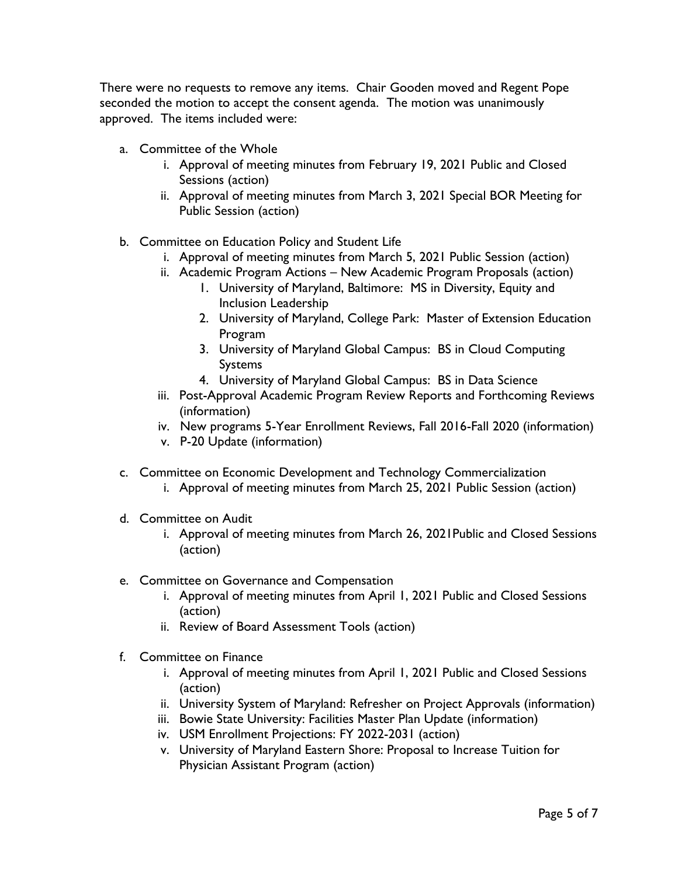There were no requests to remove any items. Chair Gooden moved and Regent Pope seconded the motion to accept the consent agenda. The motion was unanimously approved. The items included were:

- a. Committee of the Whole
	- i. Approval of meeting minutes from February 19, 2021 Public and Closed Sessions (action)
	- ii. Approval of meeting minutes from March 3, 2021 Special BOR Meeting for Public Session (action)
- b. Committee on Education Policy and Student Life
	- i. Approval of meeting minutes from March 5, 2021 Public Session (action)
	- ii. Academic Program Actions New Academic Program Proposals (action)
		- 1. University of Maryland, Baltimore: MS in Diversity, Equity and Inclusion Leadership
		- 2. University of Maryland, College Park: Master of Extension Education Program
		- 3. University of Maryland Global Campus: BS in Cloud Computing Systems
		- 4. University of Maryland Global Campus: BS in Data Science
	- iii. Post-Approval Academic Program Review Reports and Forthcoming Reviews (information)
	- iv. New programs 5-Year Enrollment Reviews, Fall 2016-Fall 2020 (information)
	- v. P-20 Update (information)
- c. Committee on Economic Development and Technology Commercialization
	- i. Approval of meeting minutes from March 25, 2021 Public Session (action)
- d. Committee on Audit
	- i. Approval of meeting minutes from March 26, 2021Public and Closed Sessions (action)
- e. Committee on Governance and Compensation
	- i. Approval of meeting minutes from April 1, 2021 Public and Closed Sessions (action)
	- ii. Review of Board Assessment Tools (action)
- f. Committee on Finance
	- i. Approval of meeting minutes from April 1, 2021 Public and Closed Sessions (action)
	- ii. University System of Maryland: Refresher on Project Approvals (information)
	- iii. Bowie State University: Facilities Master Plan Update (information)
	- iv. USM Enrollment Projections: FY 2022-2031 (action)
	- v. University of Maryland Eastern Shore: Proposal to Increase Tuition for Physician Assistant Program (action)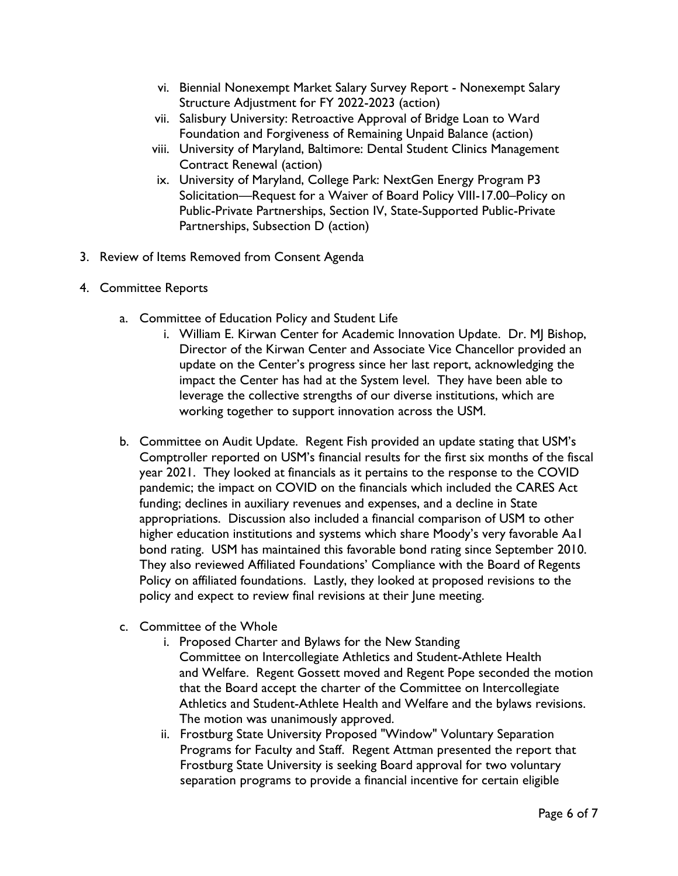- vi. Biennial Nonexempt Market Salary Survey Report Nonexempt Salary Structure Adjustment for FY 2022-2023 (action)
- vii. Salisbury University: Retroactive Approval of Bridge Loan to Ward Foundation and Forgiveness of Remaining Unpaid Balance (action)
- viii. University of Maryland, Baltimore: Dental Student Clinics Management Contract Renewal (action)
- ix. University of Maryland, College Park: NextGen Energy Program P3 Solicitation—Request for a Waiver of Board Policy VIII-17.00–Policy on Public-Private Partnerships, Section IV, State-Supported Public-Private Partnerships, Subsection D (action)
- 3. Review of Items Removed from Consent Agenda
- 4. Committee Reports
	- a. Committee of Education Policy and Student Life
		- i. William E. Kirwan Center for Academic Innovation Update. Dr. MJ Bishop, Director of the Kirwan Center and Associate Vice Chancellor provided an update on the Center's progress since her last report, acknowledging the impact the Center has had at the System level. They have been able to leverage the collective strengths of our diverse institutions, which are working together to support innovation across the USM.
	- b. Committee on Audit Update. Regent Fish provided an update stating that USM's Comptroller reported on USM's financial results for the first six months of the fiscal year 2021. They looked at financials as it pertains to the response to the COVID pandemic; the impact on COVID on the financials which included the CARES Act funding; declines in auxiliary revenues and expenses, and a decline in State appropriations. Discussion also included a financial comparison of USM to other higher education institutions and systems which share Moody's very favorable Aa1 bond rating. USM has maintained this favorable bond rating since September 2010. They also reviewed Affiliated Foundations' Compliance with the Board of Regents Policy on affiliated foundations. Lastly, they looked at proposed revisions to the policy and expect to review final revisions at their June meeting.
	- c. Committee of the Whole
		- i. Proposed Charter and Bylaws for the New Standing Committee on Intercollegiate Athletics and Student-Athlete Health and Welfare. Regent Gossett moved and Regent Pope seconded the motion that the Board accept the charter of the Committee on Intercollegiate Athletics and Student-Athlete Health and Welfare and the bylaws revisions. The motion was unanimously approved.
		- ii. Frostburg State University Proposed "Window" Voluntary Separation Programs for Faculty and Staff. Regent Attman presented the report that Frostburg State University is seeking Board approval for two voluntary separation programs to provide a financial incentive for certain eligible